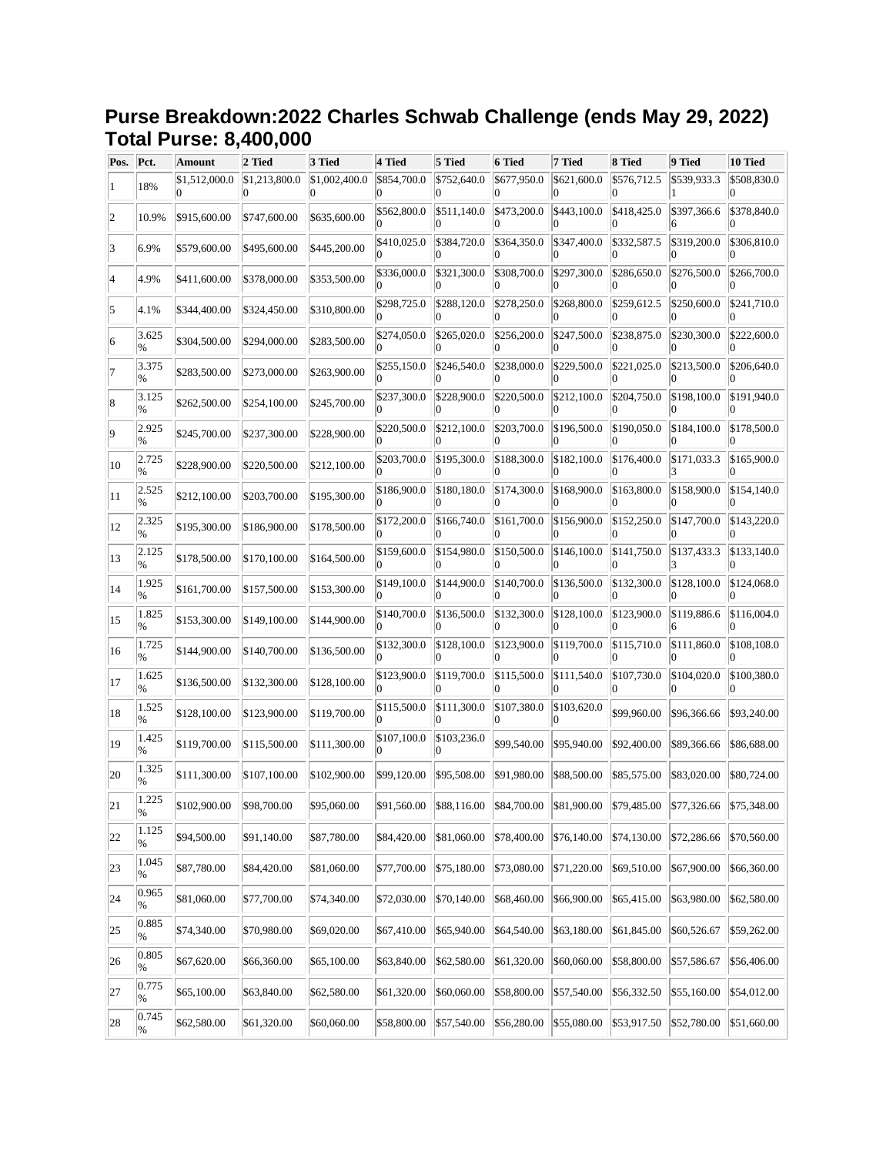## **Purse Breakdown:2022 Charles Schwab Challenge (ends May 29, 2022) Total Purse: 8,400,000**

| Pos. | Pct.                   | <b>Amount</b> | 2 Tied                   | 3 Tied        | 4 Tied      | 5 Tied      | 6 Tied      | 7 Tied           | 8 Tied      | 9 Tied                                                                              | 10 Tied     |
|------|------------------------|---------------|--------------------------|---------------|-------------|-------------|-------------|------------------|-------------|-------------------------------------------------------------------------------------|-------------|
|      | 18%                    | \$1,512,000.0 | \$1,213,800.0            | \$1,002,400.0 | \$854,700.0 | \$752,640.0 | \$677,950.0 | \$621,600.0      | \$576,712.5 | \$539,933.3                                                                         | \$508,830.0 |
| 12   | 10.9%                  | \$915,600.00  | \$747,600.00             | \$635,600.00  | \$562,800.0 | \$511,140.0 | \$473,200.0 | \$443,100.0      | \$418,425.0 | \$397,366.6                                                                         | \$378,840.0 |
| 3    | 6.9%                   | \$579,600.00  | \$495,600.00             | \$445,200.00  | \$410,025.0 | \$384,720.0 | \$364,350.0 | \$347,400.0      | \$332,587.5 | \$319,200.0                                                                         | \$306,810.0 |
|      | 4.9%                   | \$411,600.00  | \$378,000.00             | \$353,500.00  | \$336,000.0 | \$321,300.0 | \$308,700.0 | \$297,300.0      | \$286,650.0 | \$276,500.0                                                                         | \$266,700.0 |
| 5    | 4.1%                   | \$344,400.00  | \$324,450.00             | \$310,800.00  | \$298,725.0 | \$288,120.0 | \$278,250.0 | \$268,800.0      | \$259,612.5 | \$250,600.0                                                                         | \$241,710.0 |
| 16   | 3.625<br>%             | \$304,500.00  | \$294,000.00             | \$283,500.00  | \$274,050.0 | \$265,020.0 | \$256,200.0 | \$247,500.0      | \$238,875.0 | \$230,300.0                                                                         | \$222,600.0 |
|      | 3.375<br>$\%$          | \$283,500.00  | \$273,000.00             | \$263,900.00  | \$255,150.0 | \$246,540.0 | \$238,000.0 | \$229,500.0      | \$221,025.0 | \$213,500.0                                                                         | \$206,640.0 |
| 18   | 3.125<br>%             | \$262,500.00  | \$254,100.00             | \$245,700.00  | \$237,300.0 | \$228,900.0 | \$220,500.0 | \$212,100.0      | \$204,750.0 | \$198,100.0                                                                         | \$191,940.0 |
| 9    | 2.925<br>%             | \$245,700.00  | \$237,300.00             | \$228,900.00  | \$220,500.0 | \$212,100.0 | \$203,700.0 | \$196,500.0      | \$190,050.0 | \$184,100.0                                                                         | \$178,500.0 |
| 10   | 2.725<br>%             | \$228,900.00  | \$220,500.00             | \$212,100.00  | \$203,700.0 | \$195,300.0 | \$188,300.0 | \$182,100.0      | \$176,400.0 | \$171,033.3                                                                         | \$165,900.0 |
| 11   | 2.525<br>$\%$          | \$212,100.00  | \$203,700.00             | \$195,300.00  | \$186,900.0 | \$180,180.0 | \$174,300.0 | \$168,900.0      | \$163,800.0 | \$158,900.0                                                                         | \$154,140.0 |
| 12   | 2.325<br>%             | \$195,300.00  | \$186,900.00             | \$178,500.00  | \$172,200.0 | \$166,740.0 | \$161,700.0 | \$156,900.0      | \$152,250.0 | \$147,700.0                                                                         | \$143,220.0 |
| 13   | 2.125<br>%             | \$178,500.00  | \$170,100.00             | \$164,500.00  | \$159,600.0 | \$154,980.0 | \$150,500.0 | \$146,100.0      | \$141,750.0 | \$137,433.3                                                                         | \$133,140.0 |
| 14   | 1.925<br>$\%$          | \$161,700.00  | \$157,500.00             | \$153,300.00  | \$149,100.0 | \$144,900.0 | \$140,700.0 | \$136,500.0      | \$132,300.0 | \$128,100.0                                                                         | \$124,068.0 |
| 15   | 1.825<br>%             | \$153,300.00  | \$149,100.00             | \$144,900.00  | \$140,700.0 | \$136,500.0 | \$132,300.0 | \$128,100.0      | \$123,900.0 | \$119,886.6                                                                         | \$116,004.0 |
| 16   | 1.725<br>$\%$          | \$144,900.00  | \$140,700.00             | \$136,500.00  | \$132,300.0 | \$128,100.0 | \$123,900.0 | \$119,700.0      | \$115,710.0 | \$111,860.0                                                                         | \$108,108.0 |
| 17   | 1.625<br>%             | \$136,500.00  | \$132,300.00             | \$128,100.00  | \$123,900.0 | \$119,700.0 | \$115,500.0 | \$111,540.0      | \$107,730.0 | \$104,020.0                                                                         | \$100,380.0 |
| 18   | 1.525<br>$\%$          | \$128,100.00  | \$123,900.00             | \$119,700.00  | \$115,500.0 | \$111,300.0 | \$107,380.0 | \$103,620.0<br>0 | \$99,960.00 | \$96,366.66                                                                         | \$93,240.00 |
| 19   | 1.425<br>%             | \$119,700.00  | \$115,500.00             | \$111,300.00  | \$107,100.0 | \$103,236.0 | \$99,540.00 | \$95,940.00      | \$92,400.00 | \$89,366.66                                                                         | \$86,688.00 |
| 20   | 1.325<br>%             | \$111,300.00  | \$107,100.00             | \$102,900.00  | \$99,120.00 | \$95,508.00 | \$91,980.00 | \$88,500.00      | \$85,575.00 | \$83,020.00                                                                         | \$80,724.00 |
| 21   | 1.225<br>$\frac{9}{6}$ |               | \$102,900.00 \$98,700.00 | \$95,060.00   |             |             |             |                  |             | \$91,560.00 \$88,116.00 \$84,700.00 \$81,900.00 \$79,485.00 \$77,326.66 \$75,348.00 |             |
| 22   | 1.125<br>%             | \$94,500.00   | \$91,140.00              | \$87,780.00   | \$84,420.00 | \$81,060.00 | \$78,400.00 | \$76,140.00      | \$74,130.00 | \$72,286.66                                                                         | \$70,560.00 |
| 23   | 1.045<br>%             | \$87,780.00   | \$84,420.00              | \$81,060.00   | \$77,700.00 | \$75,180.00 | \$73,080.00 | \$71,220.00      | \$69,510.00 | \$67,900.00                                                                         | \$66,360.00 |
| 24   | 0.965<br>%             | \$81,060.00   | \$77,700.00              | \$74,340.00   | \$72,030.00 | \$70,140.00 | \$68,460.00 | \$66,900.00      | \$65,415.00 | \$63,980.00                                                                         | \$62,580.00 |
| 25   | 0.885<br>%             | \$74,340.00   | \$70,980.00              | \$69,020.00   | \$67,410.00 | \$65,940.00 | \$64,540.00 | \$63,180.00      | \$61,845.00 | \$60,526.67                                                                         | \$59,262.00 |
| 26   | 0.805<br>%             | \$67,620.00   | \$66,360.00              | \$65,100.00   | \$63,840.00 | \$62,580.00 | \$61,320.00 | \$60,060.00      | \$58,800.00 | \$57,586.67                                                                         | \$56,406.00 |
| 27   | 0.775<br>%             | \$65,100.00   | \$63,840.00              | \$62,580.00   | \$61,320.00 | \$60,060.00 | \$58,800.00 | \$57,540.00      | \$56,332.50 | \$55,160.00                                                                         | \$54,012.00 |
| 28   | 0.745<br>%             | \$62,580.00   | \$61,320.00              | \$60,060.00   | \$58,800.00 | \$57,540.00 | \$56,280.00 | \$55,080.00      | \$53,917.50 | \$52,780.00                                                                         | \$51,660.00 |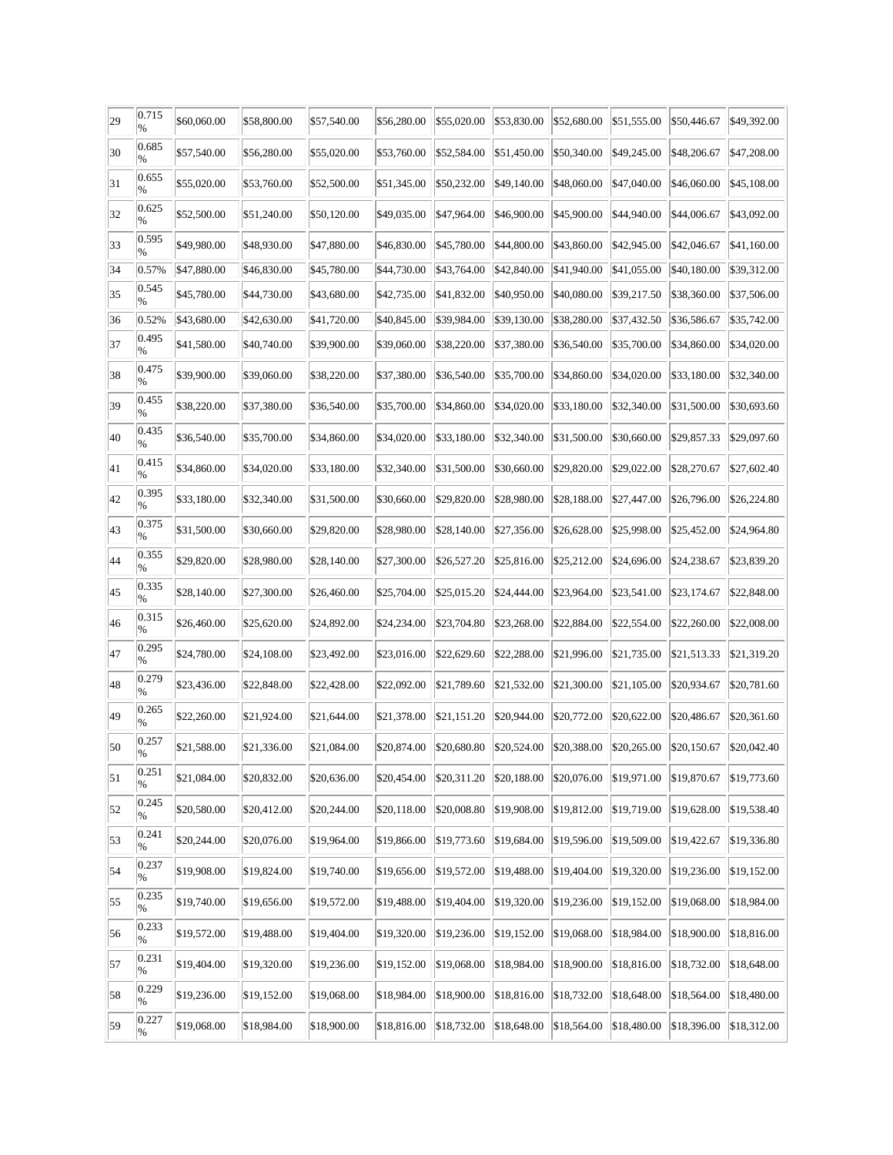| 29 | 0.715<br>% | \$60,060.00 | \$58,800.00 | \$57,540.00 | \$56,280.00 | \$55,020.00         | \$53,830.00 | \$52,680.00 | \$51,555.00 | \$50,446.67 | \$49,392.00 |
|----|------------|-------------|-------------|-------------|-------------|---------------------|-------------|-------------|-------------|-------------|-------------|
| 30 | 0.685<br>% | \$57,540.00 | \$56,280.00 | \$55,020.00 | \$53,760.00 | \$52,584.00         | \$51,450.00 | \$50,340.00 | \$49,245.00 | \$48,206.67 | \$47,208.00 |
| 31 | 0.655<br>% | \$55,020.00 | \$53,760.00 | \$52,500.00 | \$51,345.00 | \$50,232.00         | \$49,140.00 | \$48,060.00 | \$47,040.00 | \$46,060.00 | \$45,108.00 |
| 32 | 0.625<br>% | \$52,500.00 | \$51,240.00 | \$50,120.00 | \$49,035.00 | \$47,964.00         | \$46,900.00 | \$45,900.00 | \$44,940.00 | \$44,006.67 | \$43,092.00 |
| 33 | 0.595<br>% | \$49,980.00 | \$48,930.00 | \$47,880.00 | \$46,830.00 | \$45,780.00         | \$44,800.00 | \$43,860.00 | \$42,945.00 | \$42,046.67 | \$41,160.00 |
| 34 | 0.57%      | \$47,880.00 | \$46,830.00 | \$45,780.00 | \$44,730.00 | $\sqrt{$43,764.00}$ | \$42,840.00 | \$41,940.00 | \$41,055.00 | \$40,180.00 | \$39,312.00 |
| 35 | 0.545<br>% | \$45,780.00 | \$44,730.00 | \$43,680.00 | \$42,735.00 | \$41,832.00         | \$40,950.00 | \$40,080.00 | \$39,217.50 | \$38,360.00 | \$37,506.00 |
| 36 | 0.52%      | \$43,680.00 | \$42,630.00 | \$41,720.00 | \$40,845.00 | \$39,984.00         | \$39,130.00 | \$38,280.00 | \$37,432.50 | \$36,586.67 | \$35,742.00 |
| 37 | 0.495<br>% | \$41,580.00 | \$40,740.00 | \$39,900.00 | \$39,060.00 | \$38,220.00         | \$37,380.00 | \$36,540.00 | \$35,700.00 | \$34,860.00 | \$34,020.00 |
| 38 | 0.475<br>% | \$39,900.00 | \$39,060.00 | \$38,220.00 | \$37,380.00 | \$36,540.00         | \$35,700.00 | \$34,860.00 | \$34,020.00 | \$33,180.00 | \$32,340.00 |
| 39 | 0.455<br>% | \$38,220.00 | \$37,380.00 | \$36,540.00 | \$35,700.00 | \$34,860.00         | \$34,020.00 | \$33,180.00 | \$32,340.00 | \$31,500.00 | \$30,693.60 |
| 40 | 0.435<br>% | \$36,540.00 | \$35,700.00 | \$34,860.00 | \$34,020.00 | \$33,180.00         | \$32,340.00 | \$31,500.00 | \$30,660.00 | \$29,857.33 | \$29,097.60 |
| 41 | 0.415<br>% | \$34,860.00 | \$34,020.00 | \$33,180.00 | \$32,340.00 | \$31,500.00         | \$30,660.00 | \$29,820.00 | \$29,022.00 | \$28,270.67 | \$27,602.40 |
| 42 | 0.395<br>% | \$33,180.00 | \$32,340.00 | \$31,500.00 | \$30,660.00 | \$29,820.00         | \$28,980.00 | \$28,188.00 | \$27,447.00 | \$26,796.00 | \$26,224.80 |
| 43 | 0.375<br>% | \$31,500.00 | \$30,660.00 | \$29,820.00 | \$28,980.00 | \$28,140.00         | \$27,356.00 | \$26,628.00 | \$25,998.00 | \$25,452.00 | \$24,964.80 |
| 44 | 0.355<br>% | \$29,820.00 | \$28,980.00 | \$28,140.00 | \$27,300.00 | \$26,527.20         | \$25,816.00 | \$25,212.00 | \$24,696.00 | \$24,238.67 | \$23,839.20 |
| 45 | 0.335<br>% | \$28,140.00 | \$27,300.00 | \$26,460.00 | \$25,704.00 | \$25,015.20         | \$24,444.00 | \$23,964.00 | \$23,541.00 | \$23,174.67 | \$22,848.00 |
| 46 | 0.315<br>% | \$26,460.00 | \$25,620.00 | \$24,892.00 | \$24,234.00 | \$23,704.80         | \$23,268.00 | \$22,884.00 | \$22,554.00 | \$22,260.00 | \$22,008.00 |
| 47 | 0.295<br>% | \$24,780.00 | \$24,108.00 | \$23,492.00 | \$23,016.00 | \$22,629.60         | \$22,288.00 | \$21,996.00 | \$21,735.00 | \$21,513.33 | \$21,319.20 |
| 48 | 0.279<br>% | \$23,436.00 | \$22,848.00 | \$22,428.00 | \$22,092.00 | \$21,789.60         | \$21,532.00 | \$21,300.00 | \$21,105.00 | \$20,934.67 | \$20,781.60 |
| 49 | 0.265<br>% | \$22,260.00 | \$21,924.00 | \$21,644.00 | \$21,378.00 | \$21,151.20         | \$20,944.00 | \$20,772.00 | \$20,622.00 | \$20,486.67 | \$20,361.60 |
| 50 | 0.257<br>% | \$21,588.00 | \$21,336.00 | \$21,084.00 | \$20,874.00 | \$20,680.80         | \$20,524.00 | \$20,388.00 | \$20,265.00 | \$20,150.67 | \$20,042.40 |
| 51 | 0.251<br>% | \$21,084.00 | \$20,832.00 | \$20,636.00 | \$20,454.00 | \$20,311.20         | \$20,188.00 | \$20,076.00 | \$19,971.00 | \$19,870.67 | \$19,773.60 |
| 52 | 0.245<br>% | \$20,580.00 | \$20,412.00 | \$20,244.00 | \$20,118.00 | \$20,008.80         | \$19,908.00 | \$19,812.00 | \$19,719.00 | \$19,628.00 | \$19,538.40 |
| 53 | 0.241<br>% | \$20,244.00 | \$20,076.00 | \$19,964.00 | \$19,866.00 | \$19,773.60         | \$19,684.00 | \$19,596.00 | \$19,509.00 | \$19,422.67 | \$19,336.80 |
| 54 | 0.237<br>% | \$19,908.00 | \$19,824.00 | \$19,740.00 | \$19,656.00 | \$19,572.00         | \$19,488.00 | \$19,404.00 | \$19,320.00 | \$19,236.00 | \$19,152.00 |
| 55 | 0.235<br>% | \$19,740.00 | \$19,656.00 | \$19,572.00 | \$19,488.00 | \$19,404.00         | \$19,320.00 | \$19,236.00 | \$19,152.00 | \$19,068.00 | \$18,984.00 |
| 56 | 0.233<br>% | \$19,572.00 | \$19,488.00 | \$19,404.00 | \$19,320.00 | \$19,236.00         | \$19,152.00 | \$19,068.00 | \$18,984.00 | \$18,900.00 | \$18,816.00 |
| 57 | 0.231<br>% | \$19,404.00 | \$19,320.00 | \$19,236.00 | \$19,152.00 | \$19,068.00         | \$18,984.00 | \$18,900.00 | \$18,816.00 | \$18,732.00 | \$18,648.00 |
| 58 | 0.229<br>% | \$19,236.00 | \$19,152.00 | \$19,068.00 | \$18,984.00 | \$18,900.00         | \$18,816.00 | \$18,732.00 | \$18,648.00 | \$18,564.00 | \$18,480.00 |
| 59 | 0.227<br>% | \$19,068.00 | \$18,984.00 | \$18,900.00 | \$18,816.00 | \$18,732.00         | \$18,648.00 | \$18,564.00 | \$18,480.00 | \$18,396.00 | \$18,312.00 |